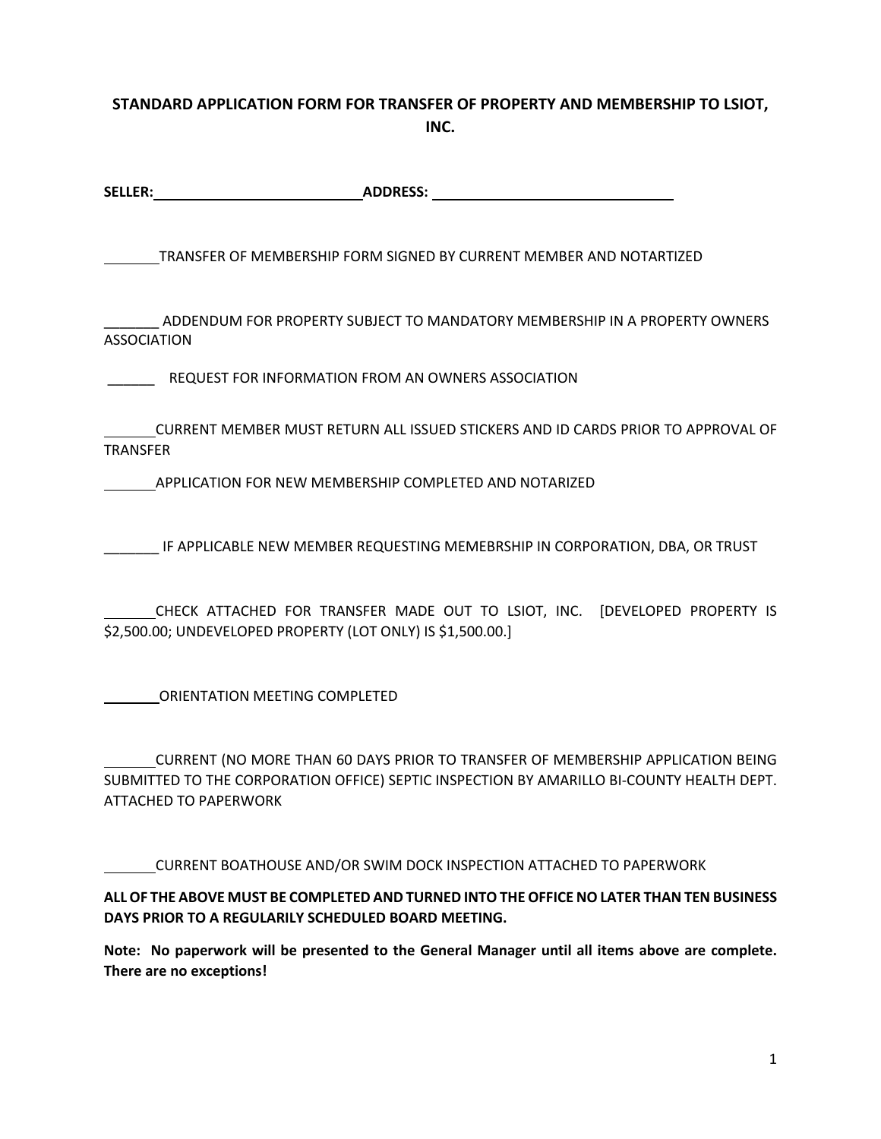#### **STANDARD APPLICATION FORM FOR TRANSFER OF PROPERTY AND MEMBERSHIP TO LSIOT, INC.**

| <b>SELLER:</b> | <b>ADDRESS:</b> |
|----------------|-----------------|
|                |                 |

TRANSFER OF MEMBERSHIP FORM SIGNED BY CURRENT MEMBER AND NOTARTIZED

\_\_\_\_\_\_\_ ADDENDUM FOR PROPERTY SUBJECT TO MANDATORY MEMBERSHIP IN A PROPERTY OWNERS ASSOCIATION

\_\_\_\_\_\_ REQUEST FOR INFORMATION FROM AN OWNERS ASSOCIATION

CURRENT MEMBER MUST RETURN ALL ISSUED STICKERS AND ID CARDS PRIOR TO APPROVAL OF TRANSFER

APPLICATION FOR NEW MEMBERSHIP COMPLETED AND NOTARIZED

IF APPLICABLE NEW MEMBER REQUESTING MEMEBRSHIP IN CORPORATION, DBA, OR TRUST

CHECK ATTACHED FOR TRANSFER MADE OUT TO LSIOT, INC. [DEVELOPED PROPERTY IS \$2,500.00; UNDEVELOPED PROPERTY (LOT ONLY) IS \$1,500.00.]

ORIENTATION MEETING COMPLETED

CURRENT (NO MORE THAN 60 DAYS PRIOR TO TRANSFER OF MEMBERSHIP APPLICATION BEING SUBMITTED TO THE CORPORATION OFFICE) SEPTIC INSPECTION BY AMARILLO BI-COUNTY HEALTH DEPT. ATTACHED TO PAPERWORK

CURRENT BOATHOUSE AND/OR SWIM DOCK INSPECTION ATTACHED TO PAPERWORK

**ALL OF THE ABOVE MUST BE COMPLETED AND TURNED INTO THE OFFICE NO LATER THAN TEN BUSINESS DAYS PRIOR TO A REGULARILY SCHEDULED BOARD MEETING.** 

**Note: No paperwork will be presented to the General Manager until all items above are complete. There are no exceptions!**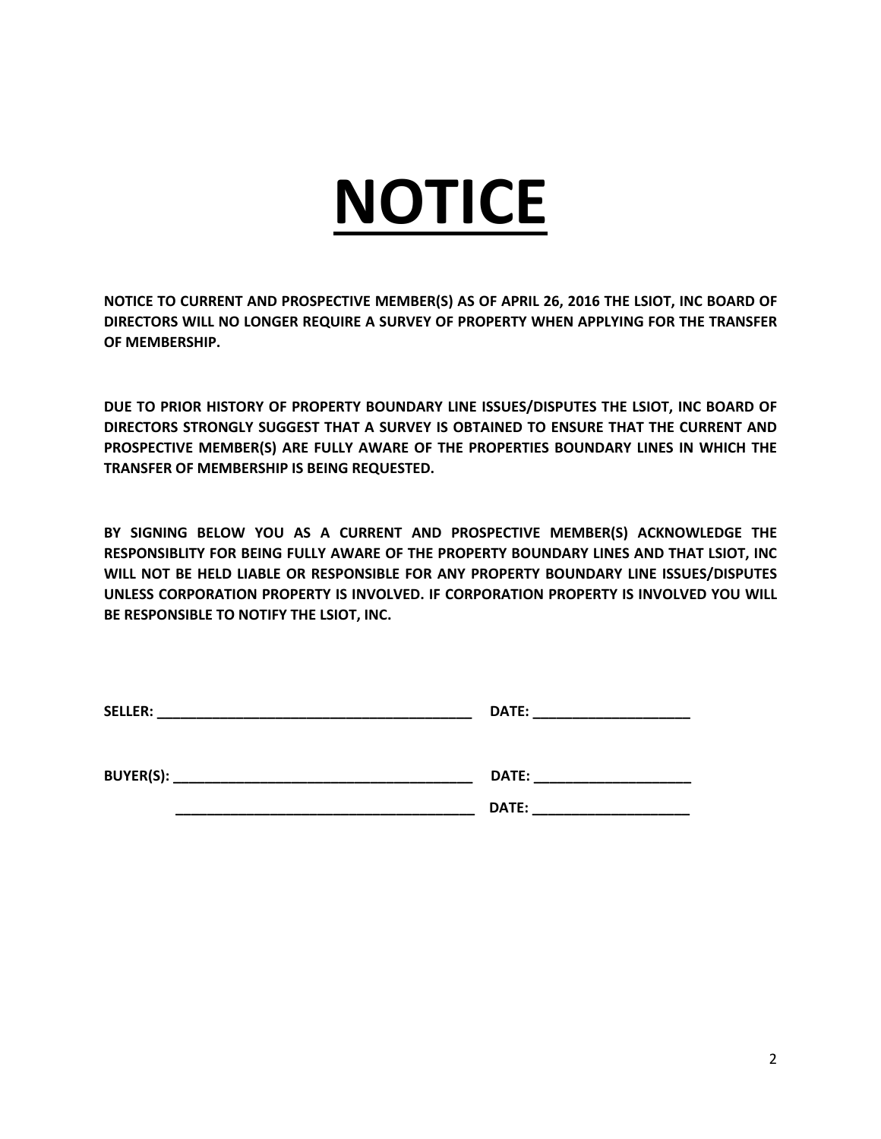# **NOTICE**

**NOTICE TO CURRENT AND PROSPECTIVE MEMBER(S) AS OF APRIL 26, 2016 THE LSIOT, INC BOARD OF DIRECTORS WILL NO LONGER REQUIRE A SURVEY OF PROPERTY WHEN APPLYING FOR THE TRANSFER OF MEMBERSHIP.** 

**DUE TO PRIOR HISTORY OF PROPERTY BOUNDARY LINE ISSUES/DISPUTES THE LSIOT, INC BOARD OF DIRECTORS STRONGLY SUGGEST THAT A SURVEY IS OBTAINED TO ENSURE THAT THE CURRENT AND PROSPECTIVE MEMBER(S) ARE FULLY AWARE OF THE PROPERTIES BOUNDARY LINES IN WHICH THE TRANSFER OF MEMBERSHIP IS BEING REQUESTED.** 

**BY SIGNING BELOW YOU AS A CURRENT AND PROSPECTIVE MEMBER(S) ACKNOWLEDGE THE RESPONSIBLITY FOR BEING FULLY AWARE OF THE PROPERTY BOUNDARY LINES AND THAT LSIOT, INC WILL NOT BE HELD LIABLE OR RESPONSIBLE FOR ANY PROPERTY BOUNDARY LINE ISSUES/DISPUTES UNLESS CORPORATION PROPERTY IS INVOLVED. IF CORPORATION PROPERTY IS INVOLVED YOU WILL BE RESPONSIBLE TO NOTIFY THE LSIOT, INC.**

| <b>SELLER:</b>   | DATE: |
|------------------|-------|
| <b>BUYER(S):</b> | DATE: |
|                  | DATE: |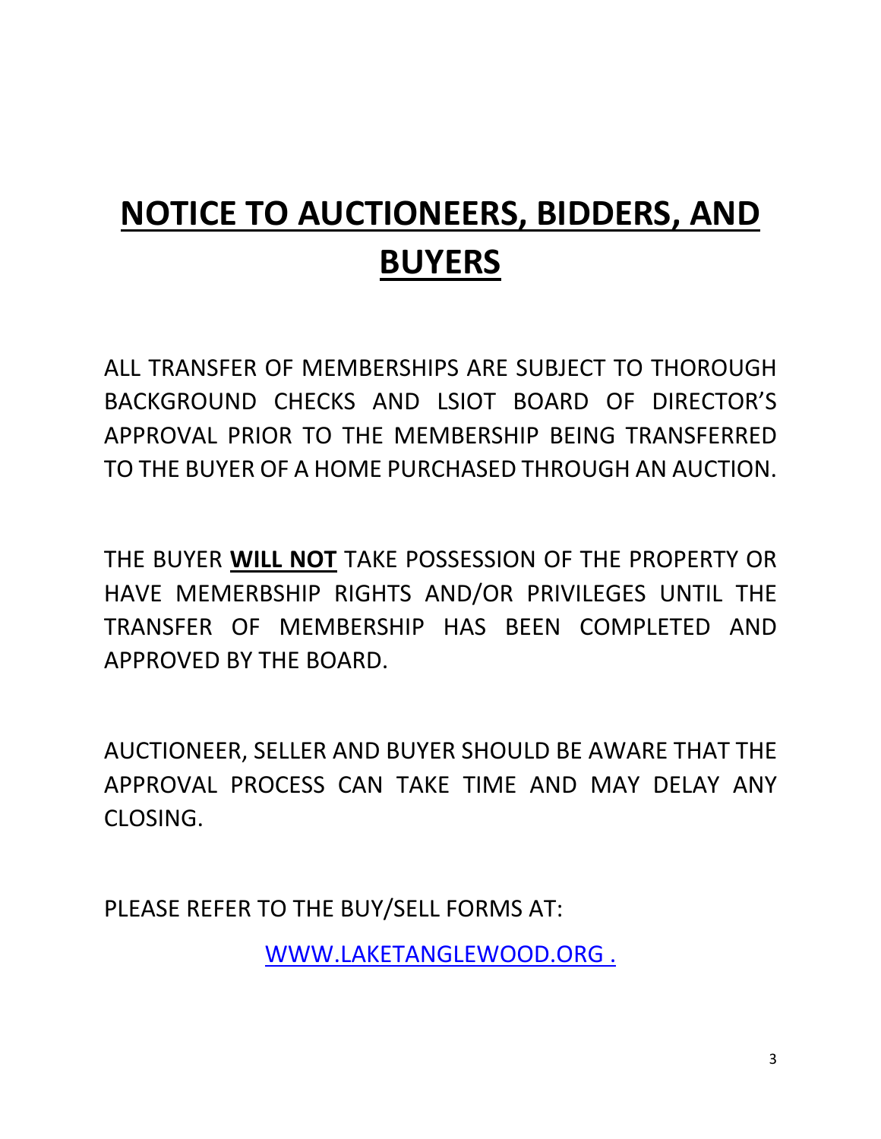# **NOTICE TO AUCTIONEERS, BIDDERS, AND BUYERS**

ALL TRANSFER OF MEMBERSHIPS ARE SUBJECT TO THOROUGH BACKGROUND CHECKS AND LSIOT BOARD OF DIRECTOR'S APPROVAL PRIOR TO THE MEMBERSHIP BEING TRANSFERRED TO THE BUYER OF A HOME PURCHASED THROUGH AN AUCTION.

THE BUYER **WILL NOT** TAKE POSSESSION OF THE PROPERTY OR HAVE MEMERBSHIP RIGHTS AND/OR PRIVILEGES UNTIL THE TRANSFER OF MEMBERSHIP HAS BEEN COMPLETED AND APPROVED BY THE BOARD.

AUCTIONEER, SELLER AND BUYER SHOULD BE AWARE THAT THE APPROVAL PROCESS CAN TAKE TIME AND MAY DELAY ANY CLOSING.

PLEASE REFER TO THE BUY/SELL FORMS AT:

WWW.LAKETANGLEWOOD.ORG .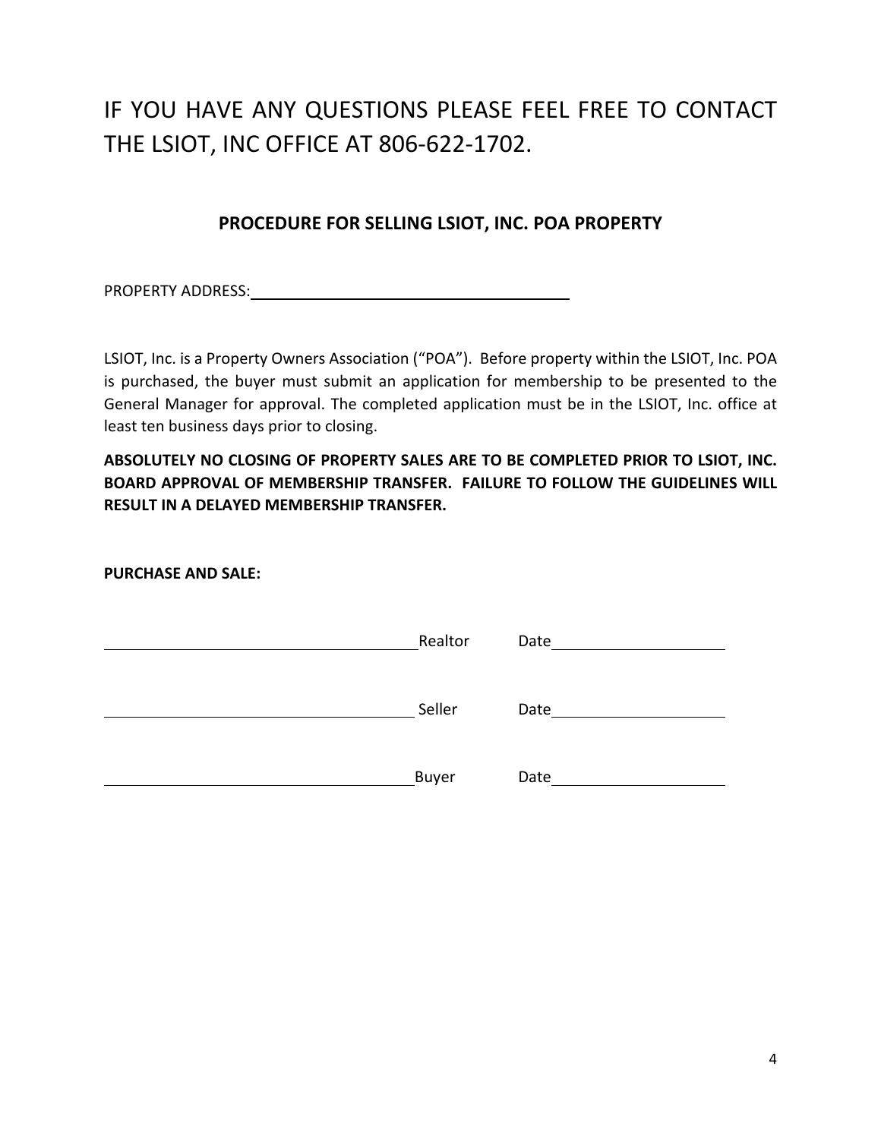## IF YOU HAVE ANY QUESTIONS PLEASE FEEL FREE TO CONTACT THE LSIOT, INC OFFICE AT 806-622-1702.

#### **PROCEDURE FOR SELLING LSIOT, INC. POA PROPERTY**

PROPERTY ADDRESS: North and the set of the set of the set of the set of the set of the set of the set of the set of the set of the set of the set of the set of the set of the set of the set of the set of the set of the set

LSIOT, Inc. is a Property Owners Association ("POA"). Before property within the LSIOT, Inc. POA is purchased, the buyer must submit an application for membership to be presented to the General Manager for approval. The completed application must be in the LSIOT, Inc. office at least ten business days prior to closing.

**ABSOLUTELY NO CLOSING OF PROPERTY SALES ARE TO BE COMPLETED PRIOR TO LSIOT, INC. BOARD APPROVAL OF MEMBERSHIP TRANSFER. FAILURE TO FOLLOW THE GUIDELINES WILL RESULT IN A DELAYED MEMBERSHIP TRANSFER.**

**PURCHASE AND SALE:**

| Realtor | Date |
|---------|------|
| Seller  | Date |
| Buyer   | Date |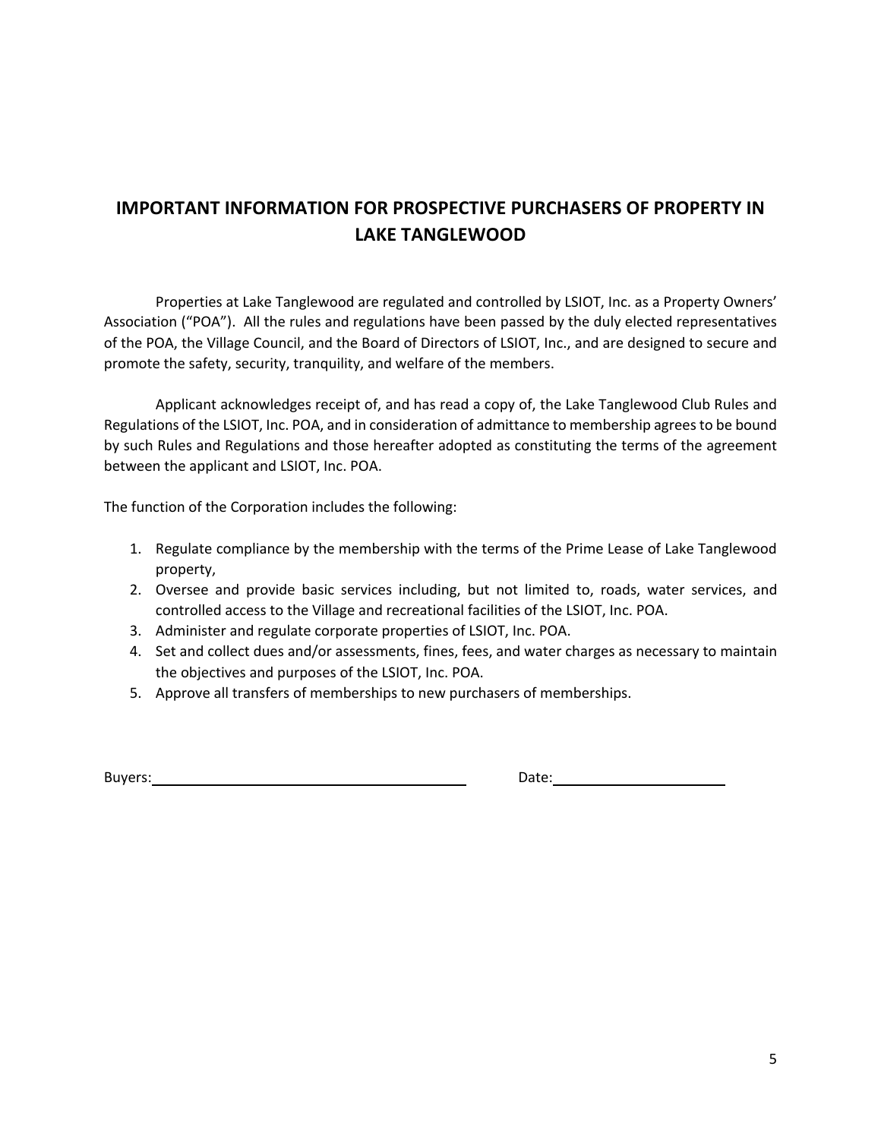#### **IMPORTANT INFORMATION FOR PROSPECTIVE PURCHASERS OF PROPERTY IN LAKE TANGLEWOOD**

Properties at Lake Tanglewood are regulated and controlled by LSIOT, Inc. as a Property Owners' Association ("POA"). All the rules and regulations have been passed by the duly elected representatives of the POA, the Village Council, and the Board of Directors of LSIOT, Inc., and are designed to secure and promote the safety, security, tranquility, and welfare of the members.

Applicant acknowledges receipt of, and has read a copy of, the Lake Tanglewood Club Rules and Regulations of the LSIOT, Inc. POA, and in consideration of admittance to membership agrees to be bound by such Rules and Regulations and those hereafter adopted as constituting the terms of the agreement between the applicant and LSIOT, Inc. POA.

The function of the Corporation includes the following:

- 1. Regulate compliance by the membership with the terms of the Prime Lease of Lake Tanglewood property,
- 2. Oversee and provide basic services including, but not limited to, roads, water services, and controlled access to the Village and recreational facilities of the LSIOT, Inc. POA.
- 3. Administer and regulate corporate properties of LSIOT, Inc. POA.
- 4. Set and collect dues and/or assessments, fines, fees, and water charges as necessary to maintain the objectives and purposes of the LSIOT, Inc. POA.
- 5. Approve all transfers of memberships to new purchasers of memberships.

Buyers: Date: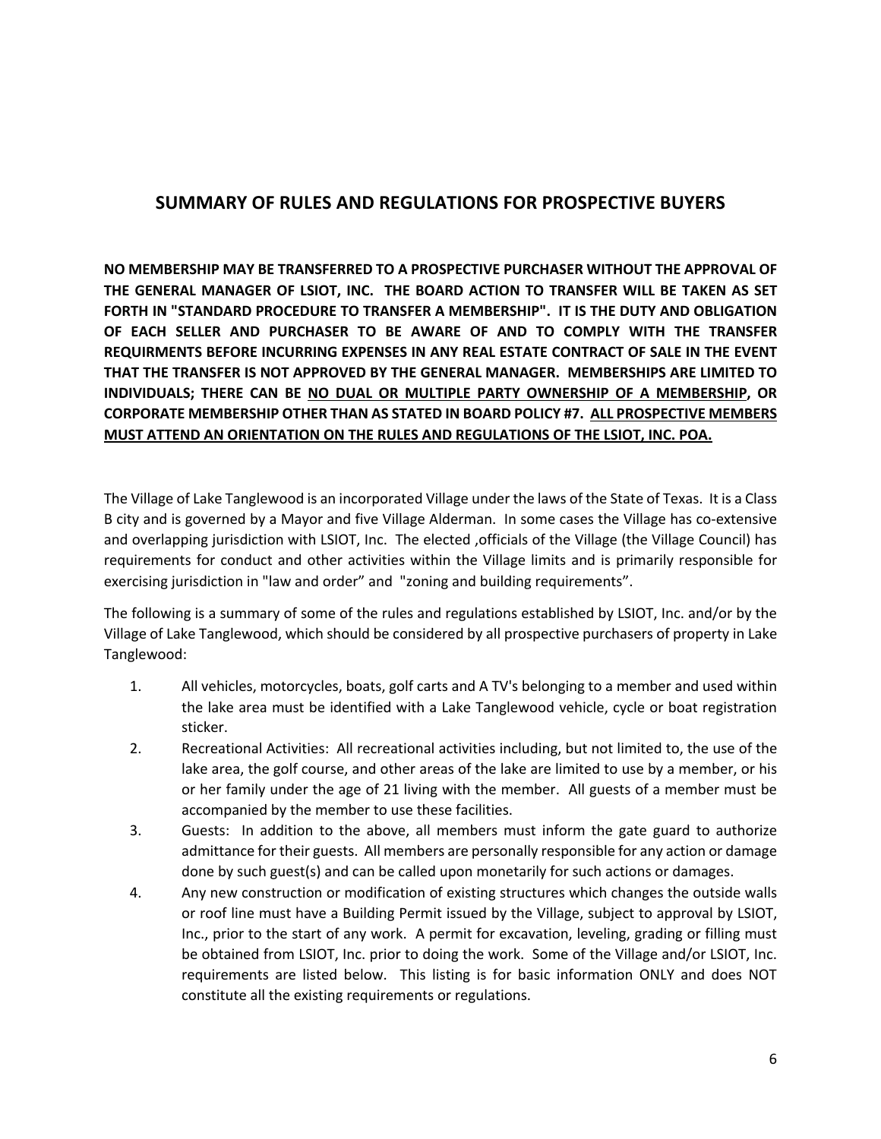#### **SUMMARY OF RULES AND REGULATIONS FOR PROSPECTIVE BUYERS**

**NO MEMBERSHIP MAY BE TRANSFERRED TO A PROSPECTIVE PURCHASER WITHOUT THE APPROVAL OF THE GENERAL MANAGER OF LSIOT, INC. THE BOARD ACTION TO TRANSFER WILL BE TAKEN AS SET FORTH IN "STANDARD PROCEDURE TO TRANSFER A MEMBERSHIP". IT IS THE DUTY AND OBLIGATION OF EACH SELLER AND PURCHASER TO BE AWARE OF AND TO COMPLY WITH THE TRANSFER REQUIRMENTS BEFORE INCURRING EXPENSES IN ANY REAL ESTATE CONTRACT OF SALE IN THE EVENT THAT THE TRANSFER IS NOT APPROVED BY THE GENERAL MANAGER. MEMBERSHIPS ARE LIMITED TO INDIVIDUALS; THERE CAN BE NO DUAL OR MULTIPLE PARTY OWNERSHIP OF A MEMBERSHIP, OR CORPORATE MEMBERSHIP OTHER THAN AS STATED IN BOARD POLICY #7. ALL PROSPECTIVE MEMBERS MUST ATTEND AN ORIENTATION ON THE RULES AND REGULATIONS OF THE LSIOT, INC. POA.**

The Village of Lake Tanglewood is an incorporated Village under the laws of the State of Texas. It is a Class B city and is governed by a Mayor and five Village Alderman. In some cases the Village has co-extensive and overlapping jurisdiction with LSIOT, Inc. The elected ,officials of the Village (the Village Council) has requirements for conduct and other activities within the Village limits and is primarily responsible for exercising jurisdiction in "law and order" and "zoning and building requirements".

The following is a summary of some of the rules and regulations established by LSIOT, Inc. and/or by the Village of Lake Tanglewood, which should be considered by all prospective purchasers of property in Lake Tanglewood:

- 1. All vehicles, motorcycles, boats, golf carts and A TV's belonging to a member and used within the lake area must be identified with a Lake Tanglewood vehicle, cycle or boat registration sticker.
- 2. Recreational Activities: All recreational activities including, but not limited to, the use of the lake area, the golf course, and other areas of the lake are limited to use by a member, or his or her family under the age of 21 living with the member. All guests of a member must be accompanied by the member to use these facilities.
- 3. Guests: In addition to the above, all members must inform the gate guard to authorize admittance for their guests. All members are personally responsible for any action or damage done by such guest(s) and can be called upon monetarily for such actions or damages.
- 4. Any new construction or modification of existing structures which changes the outside walls or roof line must have a Building Permit issued by the Village, subject to approval by LSIOT, Inc., prior to the start of any work. A permit for excavation, leveling, grading or filling must be obtained from LSIOT, Inc. prior to doing the work. Some of the Village and/or LSIOT, Inc. requirements are listed below. This listing is for basic information ONLY and does NOT constitute all the existing requirements or regulations.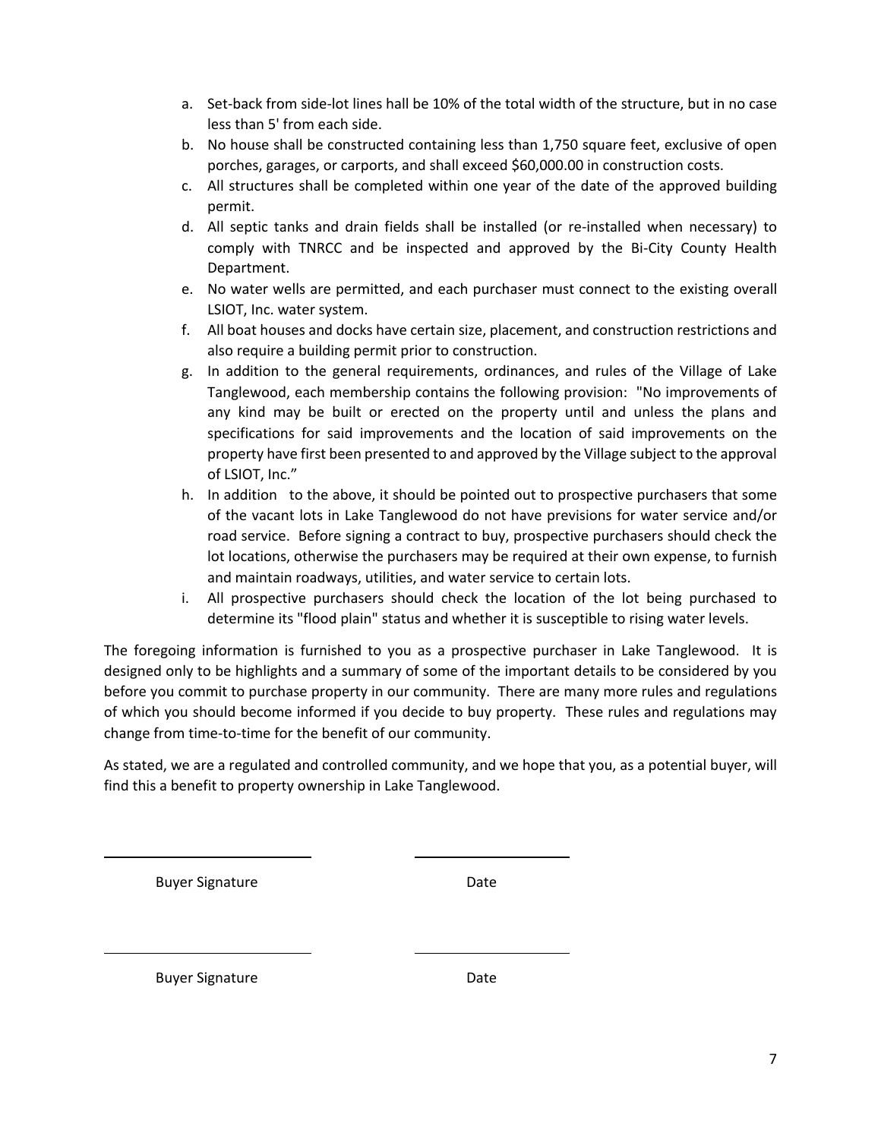- a. Set-back from side-lot lines hall be 10% of the total width of the structure, but in no case less than 5' from each side.
- b. No house shall be constructed containing less than 1,750 square feet, exclusive of open porches, garages, or carports, and shall exceed \$60,000.00 in construction costs.
- c. All structures shall be completed within one year of the date of the approved building permit.
- d. All septic tanks and drain fields shall be installed (or re-installed when necessary) to comply with TNRCC and be inspected and approved by the Bi-City County Health Department.
- e. No water wells are permitted, and each purchaser must connect to the existing overall LSIOT, Inc. water system.
- f. All boat houses and docks have certain size, placement, and construction restrictions and also require a building permit prior to construction.
- g. In addition to the general requirements, ordinances, and rules of the Village of Lake Tanglewood, each membership contains the following provision: "No improvements of any kind may be built or erected on the property until and unless the plans and specifications for said improvements and the location of said improvements on the property have first been presented to and approved by the Village subject to the approval of LSIOT, Inc."
- h. In addition to the above, it should be pointed out to prospective purchasers that some of the vacant lots in Lake Tanglewood do not have previsions for water service and/or road service. Before signing a contract to buy, prospective purchasers should check the lot locations, otherwise the purchasers may be required at their own expense, to furnish and maintain roadways, utilities, and water service to certain lots.
- i. All prospective purchasers should check the location of the lot being purchased to determine its "flood plain" status and whether it is susceptible to rising water levels.

The foregoing information is furnished to you as a prospective purchaser in Lake Tanglewood. It is designed only to be highlights and a summary of some of the important details to be considered by you before you commit to purchase property in our community. There are many more rules and regulations of which you should become informed if you decide to buy property. These rules and regulations may change from time-to-time for the benefit of our community.

As stated, we are a regulated and controlled community, and we hope that you, as a potential buyer, will find this a benefit to property ownership in Lake Tanglewood.

Buyer Signature Date

Buyer Signature Date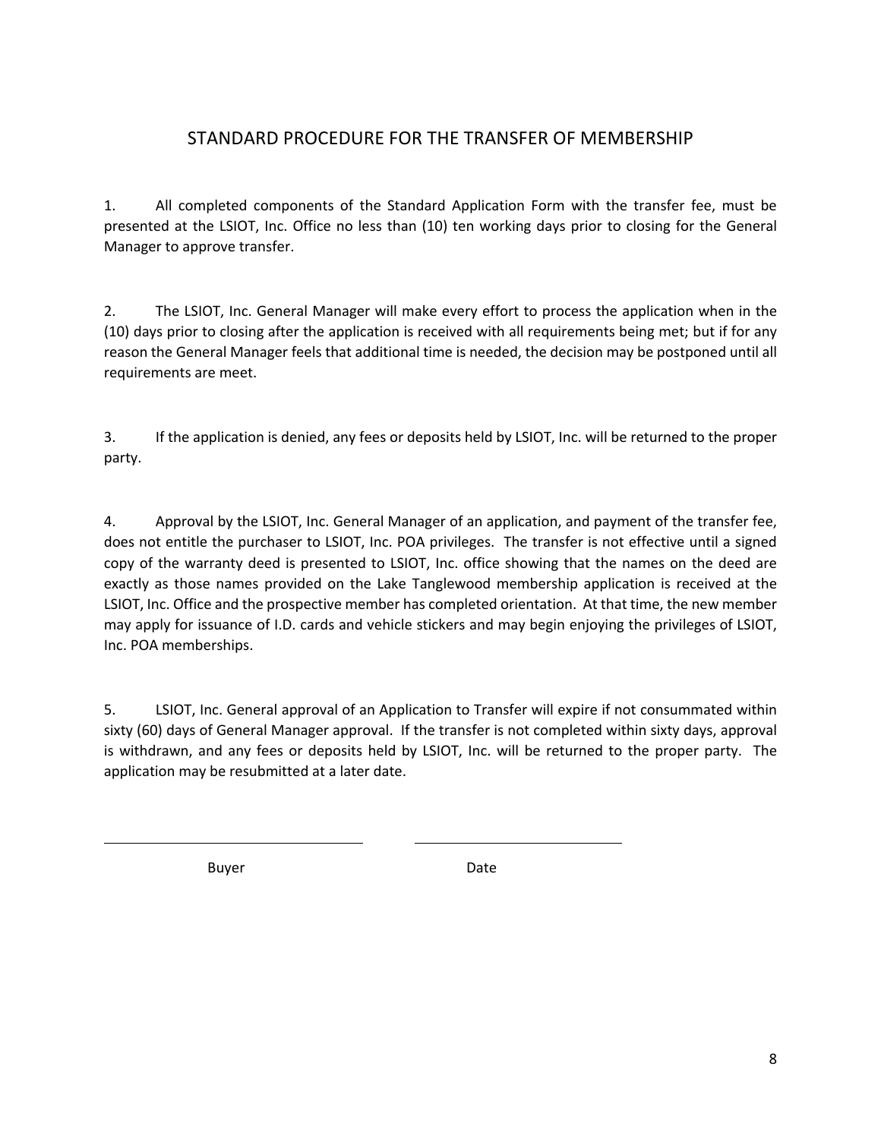#### STANDARD PROCEDURE FOR THE TRANSFER OF MEMBERSHIP

1. All completed components of the Standard Application Form with the transfer fee, must be presented at the LSIOT, Inc. Office no less than (10) ten working days prior to closing for the General Manager to approve transfer.

2. The LSIOT, Inc. General Manager will make every effort to process the application when in the (10) days prior to closing after the application is received with all requirements being met; but if for any reason the General Manager feels that additional time is needed, the decision may be postponed until all requirements are meet.

3. If the application is denied, any fees or deposits held by LSIOT, Inc. will be returned to the proper party.

4. Approval by the LSIOT, Inc. General Manager of an application, and payment of the transfer fee, does not entitle the purchaser to LSIOT, Inc. POA privileges. The transfer is not effective until a signed copy of the warranty deed is presented to LSIOT, Inc. office showing that the names on the deed are exactly as those names provided on the Lake Tanglewood membership application is received at the LSIOT, Inc. Office and the prospective member has completed orientation. At that time, the new member may apply for issuance of I.D. cards and vehicle stickers and may begin enjoying the privileges of LSIOT, Inc. POA memberships.

5. LSIOT, Inc. General approval of an Application to Transfer will expire if not consummated within sixty (60) days of General Manager approval. If the transfer is not completed within sixty days, approval is withdrawn, and any fees or deposits held by LSIOT, Inc. will be returned to the proper party. The application may be resubmitted at a later date.

Buyer Date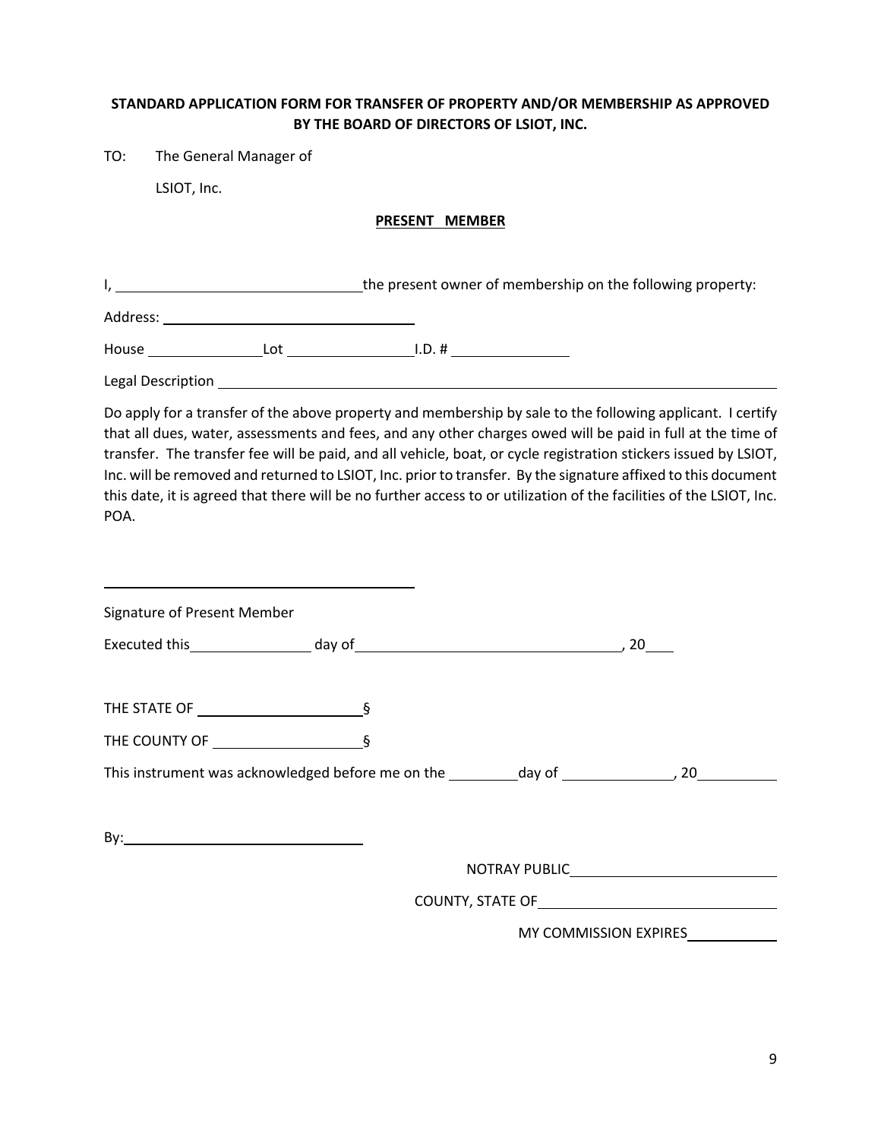#### **STANDARD APPLICATION FORM FOR TRANSFER OF PROPERTY AND/OR MEMBERSHIP AS APPROVED BY THE BOARD OF DIRECTORS OF LSIOT, INC.**

TO: The General Manager of

LSIOT, Inc.

#### **PRESENT MEMBER**

I, 1. The present owner of membership on the following property:

Address:

House Lot Lot I.D. #

Legal Description \_\_\_\_\_\_

Do apply for a transfer of the above property and membership by sale to the following applicant. I certify that all dues, water, assessments and fees, and any other charges owed will be paid in full at the time of transfer. The transfer fee will be paid, and all vehicle, boat, or cycle registration stickers issued by LSIOT, Inc. will be removed and returned to LSIOT, Inc. prior to transfer. By the signature affixed to this document this date, it is agreed that there will be no further access to or utilization of the facilities of the LSIOT, Inc. POA.

| Signature of Present Member |                                                                                                                |                              |  |
|-----------------------------|----------------------------------------------------------------------------------------------------------------|------------------------------|--|
|                             |                                                                                                                |                              |  |
|                             |                                                                                                                |                              |  |
|                             |                                                                                                                |                              |  |
|                             |                                                                                                                |                              |  |
|                             |                                                                                                                |                              |  |
|                             |                                                                                                                |                              |  |
|                             | COUNTY, STATE OF UNITY AND THE USE OF THE USE OF THE USE OF THE USE OF THE USE OF THE USE OF THE USE OF THE US |                              |  |
|                             |                                                                                                                | <b>MY COMMISSION EXPIRES</b> |  |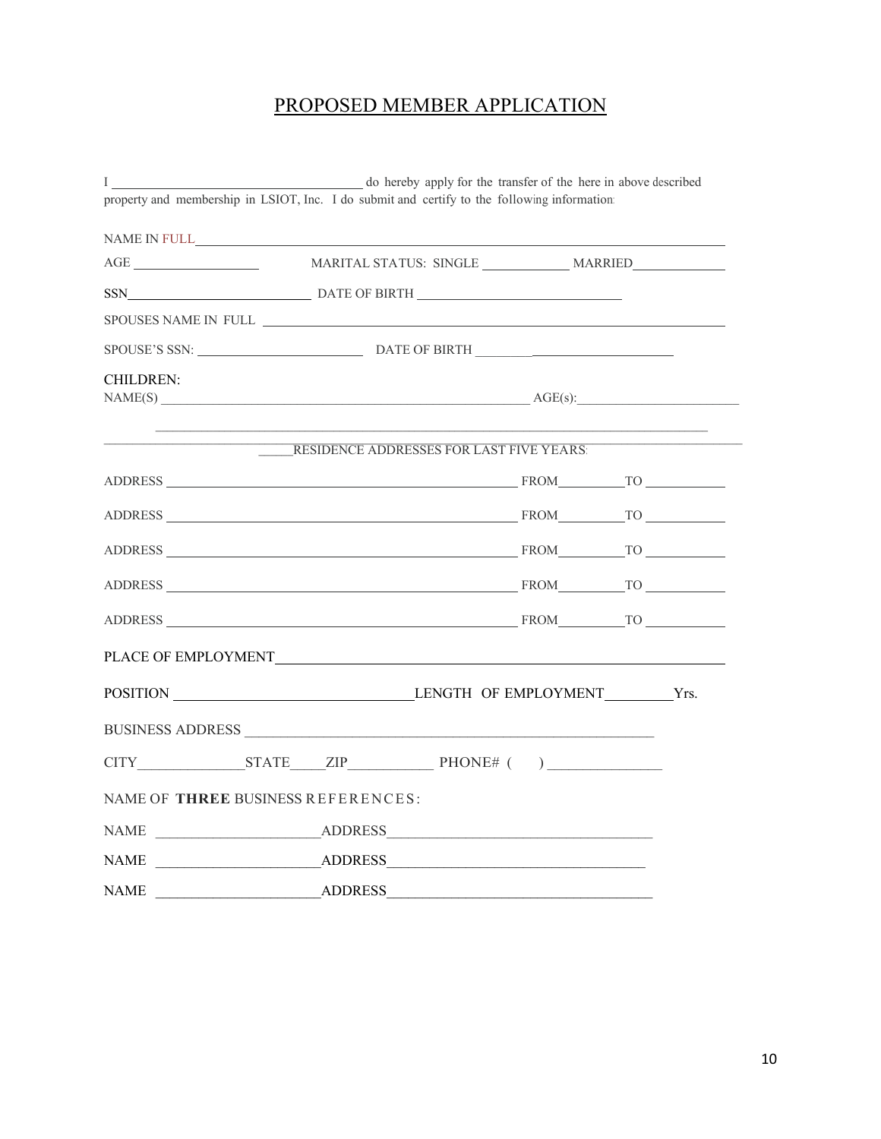#### PROPOSED MEMBER APPLICATION

| $\mathbf{I}$     | o hereby apply for the transfer of the here in above described                                                                                                                                                                |  |  |
|------------------|-------------------------------------------------------------------------------------------------------------------------------------------------------------------------------------------------------------------------------|--|--|
|                  | property and membership in LSIOT, Inc. I do submit and certify to the following information:                                                                                                                                  |  |  |
|                  |                                                                                                                                                                                                                               |  |  |
|                  |                                                                                                                                                                                                                               |  |  |
|                  | SSN DATE OF BIRTH                                                                                                                                                                                                             |  |  |
|                  |                                                                                                                                                                                                                               |  |  |
|                  |                                                                                                                                                                                                                               |  |  |
| <b>CHILDREN:</b> | $NAME(S)$ $AGE(s):$                                                                                                                                                                                                           |  |  |
|                  | RESIDENCE ADDRESSES FOR LAST FIVE YEARS:                                                                                                                                                                                      |  |  |
|                  |                                                                                                                                                                                                                               |  |  |
|                  |                                                                                                                                                                                                                               |  |  |
|                  | ADDRESS THE CONSTRUCTION CONTINUES TO THE CONSTRUCTION CONTINUES TO A CONSTRUCT OF THE CONSTRUCTION CONTINUES TO A CONSTRUCT OF THE CONSTRUCTION CONTINUES OF THE CONSTRUCTION CONTINUES OF THE CONSTRUCTION CONTINUES OF THE |  |  |
|                  |                                                                                                                                                                                                                               |  |  |
|                  |                                                                                                                                                                                                                               |  |  |
|                  |                                                                                                                                                                                                                               |  |  |
|                  |                                                                                                                                                                                                                               |  |  |
|                  | BUSINESS ADDRESS                                                                                                                                                                                                              |  |  |
|                  | $CITY$ STATE $ZIP$ PHONE# ()                                                                                                                                                                                                  |  |  |
|                  | NAME OF THREE BUSINESS REFERENCES:                                                                                                                                                                                            |  |  |
|                  |                                                                                                                                                                                                                               |  |  |
|                  |                                                                                                                                                                                                                               |  |  |
| <b>NAME</b>      | <b>ADDRESS</b>                                                                                                                                                                                                                |  |  |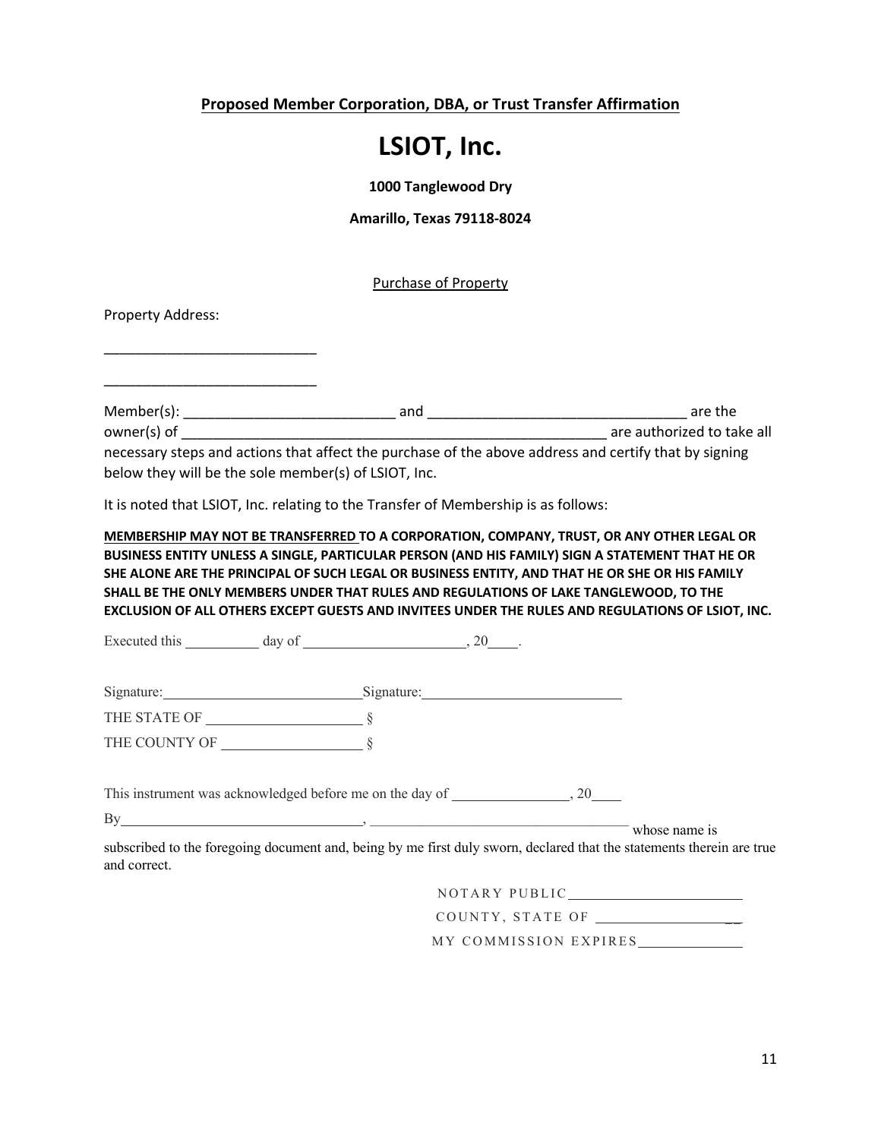**Proposed Member Corporation, DBA, or Trust Transfer Affirmation**

### **LSIOT, Inc.**

**1000 Tanglewood Dry**

**Amarillo, Texas 79118-8024**

Purchase of Property

Property Address:

\_\_\_\_\_\_\_\_\_\_\_\_\_\_\_\_\_\_\_\_\_\_\_\_\_\_\_

\_\_\_\_\_\_\_\_\_\_\_\_\_\_\_\_\_\_\_\_\_\_\_\_\_\_\_

Member(s): \_\_\_\_\_\_\_\_\_\_\_\_\_\_\_\_\_\_\_\_\_\_\_\_\_\_\_ and \_\_\_\_\_\_\_\_\_\_\_\_\_\_\_\_\_\_\_\_\_\_\_\_\_\_\_\_\_\_\_\_\_ are the owner(s) of  $\Box$  are authorized to take all necessary steps and actions that affect the purchase of the above address and certify that by signing below they will be the sole member(s) of LSIOT, Inc.

It is noted that LSIOT, Inc. relating to the Transfer of Membership is as follows:

**MEMBERSHIP MAY NOT BE TRANSFERRED TO A CORPORATION, COMPANY, TRUST, OR ANY OTHER LEGAL OR BUSINESS ENTITY UNLESS A SINGLE, PARTICULAR PERSON (AND HIS FAMILY) SIGN A STATEMENT THAT HE OR SHE ALONE ARE THE PRINCIPAL OF SUCH LEGAL OR BUSINESS ENTITY, AND THAT HE OR SHE OR HIS FAMILY SHALL BE THE ONLY MEMBERS UNDER THAT RULES AND REGULATIONS OF LAKE TANGLEWOOD, TO THE EXCLUSION OF ALL OTHERS EXCEPT GUESTS AND INVITEES UNDER THE RULES AND REGULATIONS OF LSIOT, INC.** 

Executed this  $\qquad \qquad \text{day of} \qquad \qquad 20 \qquad .$ 

| Signature: | $-$<br>Signature: |
|------------|-------------------|
|            |                   |

THE STATE OF § THE COUNTY OF §

This instrument was acknowledged before me on the day of , 20

 $\n By   
\n     whose name is$ 

subscribed to the foregoing document and, being by me first duly sworn, declared that the statements therein are true and correct.

NOTARY PUBLIC

COUNTY, STATE OF

MY COMMISSION EXPIRES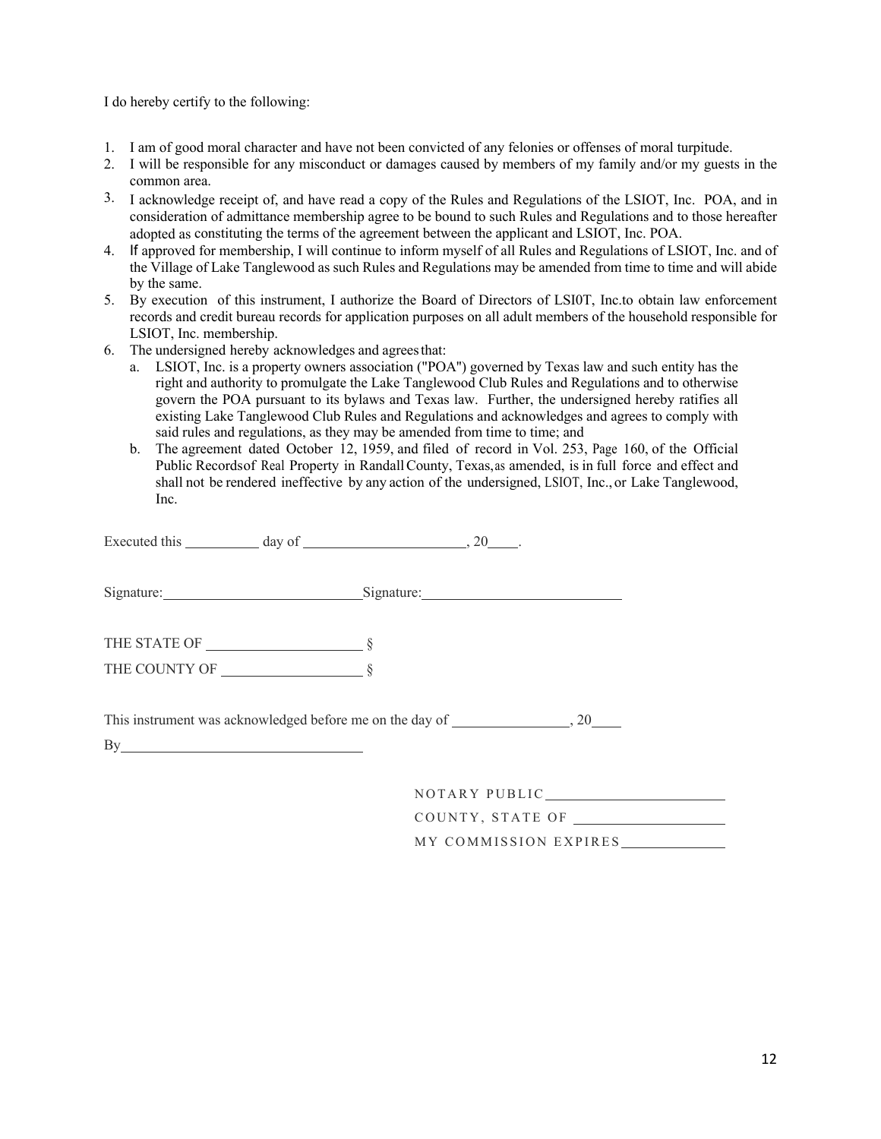I do hereby certify to the following:

- 1. I am of good moral character and have not been convicted of any felonies or offenses of moral turpitude.
- 2. I will be responsible for any misconduct or damages caused by members of my family and/or my guests in the common area.
- 3. I acknowledge receipt of, and have read a copy of the Rules and Regulations of the LSIOT, Inc. POA, and in consideration of admittance membership agree to be bound to such Rules and Regulations and to those hereafter adopted as constituting the terms of the agreement between the applicant and LSIOT, Inc. POA.
- 4. If approved for membership, I will continue to inform myself of all Rules and Regulations of LSIOT, Inc. and of the Village of Lake Tanglewood as such Rules and Regulations may be amended from time to time and will abide by the same.
- 5. By execution of this instrument, I authorize the Board of Directors of LSI0T, Inc.to obtain law enforcement records and credit bureau records for application purposes on all adult members of the household responsible for LSIOT, Inc. membership.
- 6. The undersigned hereby acknowledges and agreesthat:
	- a. LSIOT, Inc. is a property owners association ("POA'') governed by Texas law and such entity has the right and authority to promulgate the Lake Tanglewood Club Rules and Regulations and to otherwise govern the POA pursuant to its bylaws and Texas law. Further, the undersigned hereby ratifies all existing Lake Tanglewood Club Rules and Regulations and acknowledges and agrees to comply with said rules and regulations, as they may be amended from time to time; and
	- b. The agreement dated October 12, 1959, and filed of record in Vol. 253, Page 160, of the Official Public Recordsof Real Property in RandallCounty, Texas,as amended, is in full force and effect and shall not be rendered ineffective by any action of the undersigned, LSIOT, Inc., or Lake Tanglewood, Inc.

| Executed this $\_\_\_\_\_\_\$ day of $\_\_\_\_\_\_\_\_\_\_\_\_$ , 20 $\_\_\_\_\_\_\_\_\_\_\_\_\_\_$ |                                                             |
|-----------------------------------------------------------------------------------------------------|-------------------------------------------------------------|
|                                                                                                     | Signature: Signature: Signature: Signature:                 |
|                                                                                                     |                                                             |
|                                                                                                     |                                                             |
|                                                                                                     | This instrument was acknowledged before me on the day of 20 |
| By                                                                                                  |                                                             |
|                                                                                                     | NOTARY PUBLIC                                               |

COUNTY, STATE OF

MY COMMISSION EXPIRES